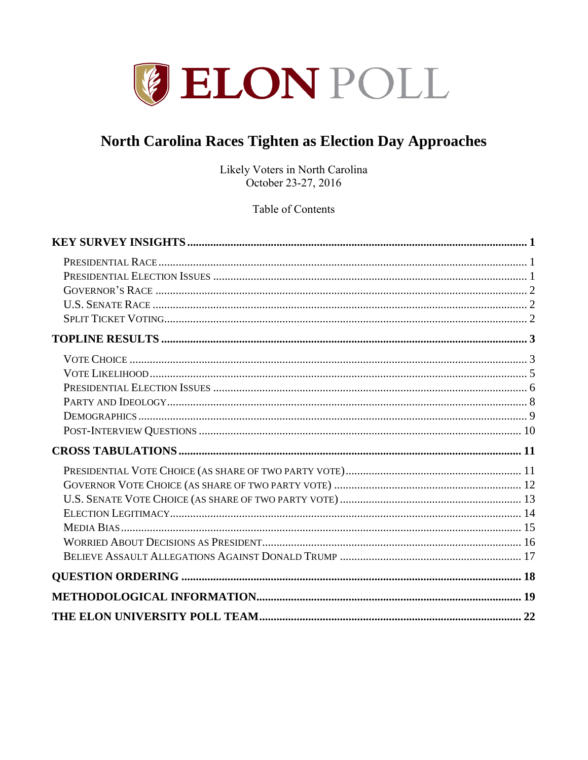

# North Carolina Races Tighten as Election Day Approaches

Likely Voters in North Carolina October 23-27, 2016

Table of Contents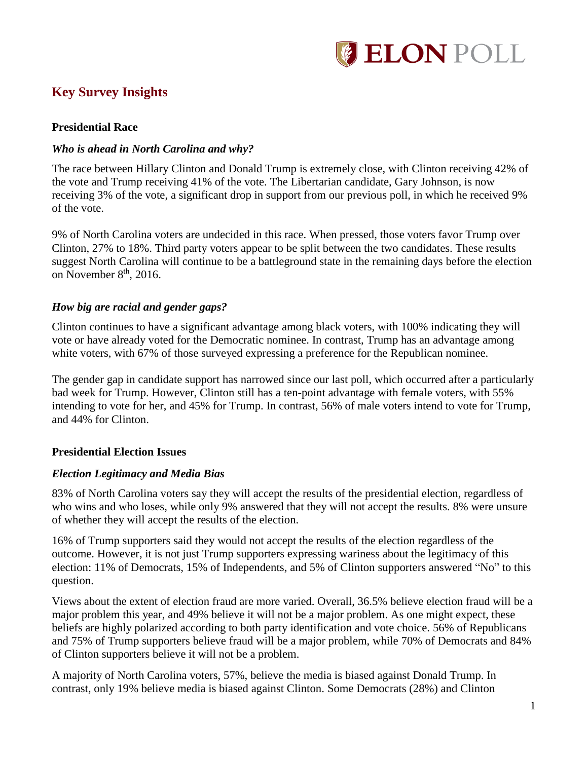

# <span id="page-1-0"></span>**Key Survey Insights**

#### <span id="page-1-1"></span>**Presidential Race**

#### *Who is ahead in North Carolina and why?*

The race between Hillary Clinton and Donald Trump is extremely close, with Clinton receiving 42% of the vote and Trump receiving 41% of the vote. The Libertarian candidate, Gary Johnson, is now receiving 3% of the vote, a significant drop in support from our previous poll, in which he received 9% of the vote.

9% of North Carolina voters are undecided in this race. When pressed, those voters favor Trump over Clinton, 27% to 18%. Third party voters appear to be split between the two candidates. These results suggest North Carolina will continue to be a battleground state in the remaining days before the election on November  $8<sup>th</sup>$ , 2016.

#### *How big are racial and gender gaps?*

Clinton continues to have a significant advantage among black voters, with 100% indicating they will vote or have already voted for the Democratic nominee. In contrast, Trump has an advantage among white voters, with 67% of those surveyed expressing a preference for the Republican nominee.

The gender gap in candidate support has narrowed since our last poll, which occurred after a particularly bad week for Trump. However, Clinton still has a ten-point advantage with female voters, with 55% intending to vote for her, and 45% for Trump. In contrast, 56% of male voters intend to vote for Trump, and 44% for Clinton.

### <span id="page-1-2"></span>**Presidential Election Issues**

#### *Election Legitimacy and Media Bias*

83% of North Carolina voters say they will accept the results of the presidential election, regardless of who wins and who loses, while only 9% answered that they will not accept the results. 8% were unsure of whether they will accept the results of the election.

16% of Trump supporters said they would not accept the results of the election regardless of the outcome. However, it is not just Trump supporters expressing wariness about the legitimacy of this election: 11% of Democrats, 15% of Independents, and 5% of Clinton supporters answered "No" to this question.

Views about the extent of election fraud are more varied. Overall, 36.5% believe election fraud will be a major problem this year, and 49% believe it will not be a major problem. As one might expect, these beliefs are highly polarized according to both party identification and vote choice. 56% of Republicans and 75% of Trump supporters believe fraud will be a major problem, while 70% of Democrats and 84% of Clinton supporters believe it will not be a problem.

A majority of North Carolina voters, 57%, believe the media is biased against Donald Trump. In contrast, only 19% believe media is biased against Clinton. Some Democrats (28%) and Clinton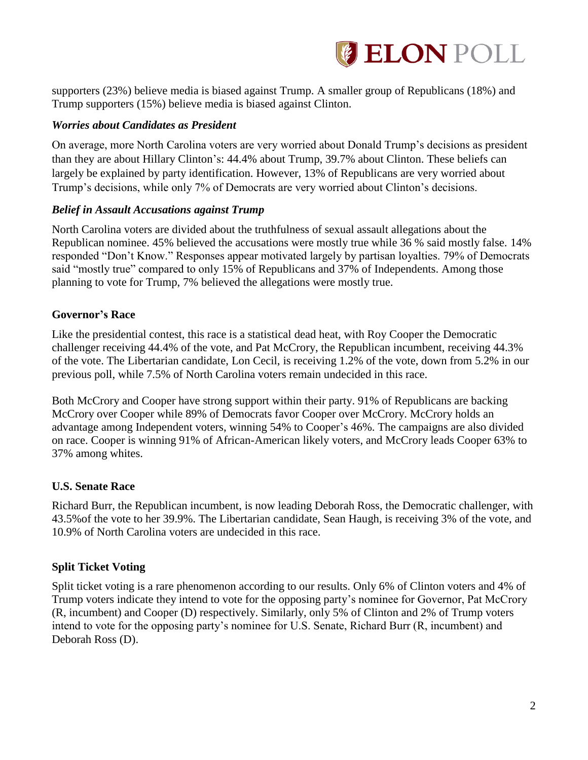

supporters (23%) believe media is biased against Trump. A smaller group of Republicans (18%) and Trump supporters (15%) believe media is biased against Clinton.

#### *Worries about Candidates as President*

On average, more North Carolina voters are very worried about Donald Trump's decisions as president than they are about Hillary Clinton's: 44.4% about Trump, 39.7% about Clinton. These beliefs can largely be explained by party identification. However, 13% of Republicans are very worried about Trump's decisions, while only 7% of Democrats are very worried about Clinton's decisions.

#### *Belief in Assault Accusations against Trump*

North Carolina voters are divided about the truthfulness of sexual assault allegations about the Republican nominee. 45% believed the accusations were mostly true while 36 % said mostly false. 14% responded "Don't Know." Responses appear motivated largely by partisan loyalties. 79% of Democrats said "mostly true" compared to only 15% of Republicans and 37% of Independents. Among those planning to vote for Trump, 7% believed the allegations were mostly true.

#### <span id="page-2-0"></span>**Governor's Race**

Like the presidential contest, this race is a statistical dead heat, with Roy Cooper the Democratic challenger receiving 44.4% of the vote, and Pat McCrory, the Republican incumbent, receiving 44.3% of the vote. The Libertarian candidate, Lon Cecil, is receiving 1.2% of the vote, down from 5.2% in our previous poll, while 7.5% of North Carolina voters remain undecided in this race.

Both McCrory and Cooper have strong support within their party. 91% of Republicans are backing McCrory over Cooper while 89% of Democrats favor Cooper over McCrory. McCrory holds an advantage among Independent voters, winning 54% to Cooper's 46%. The campaigns are also divided on race. Cooper is winning 91% of African-American likely voters, and McCrory leads Cooper 63% to 37% among whites.

### <span id="page-2-1"></span>**U.S. Senate Race**

Richard Burr, the Republican incumbent, is now leading Deborah Ross, the Democratic challenger, with 43.5%of the vote to her 39.9%. The Libertarian candidate, Sean Haugh, is receiving 3% of the vote, and 10.9% of North Carolina voters are undecided in this race.

### <span id="page-2-2"></span>**Split Ticket Voting**

Split ticket voting is a rare phenomenon according to our results. Only 6% of Clinton voters and 4% of Trump voters indicate they intend to vote for the opposing party's nominee for Governor, Pat McCrory (R, incumbent) and Cooper (D) respectively. Similarly, only 5% of Clinton and 2% of Trump voters intend to vote for the opposing party's nominee for U.S. Senate, Richard Burr (R, incumbent) and Deborah Ross (D).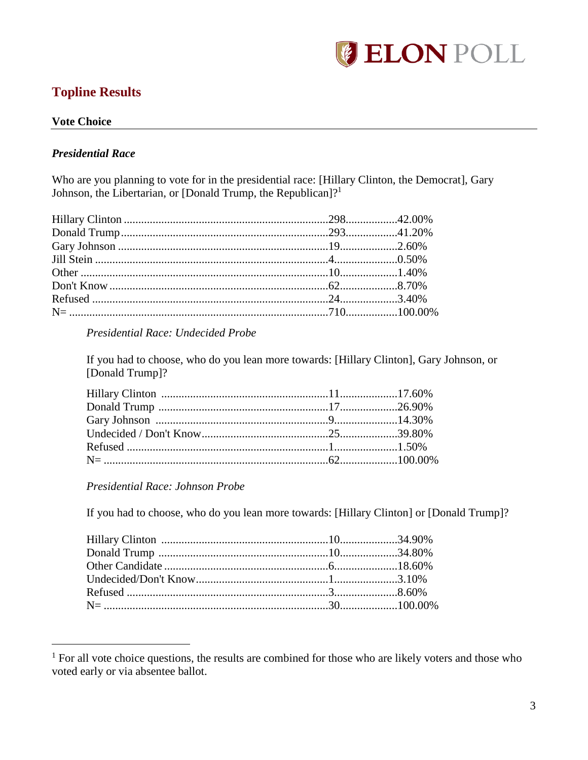

# <span id="page-3-0"></span>**Topline Results**

# <span id="page-3-1"></span>**Vote Choice**

#### **Presidential Race**

Who are you planning to vote for in the presidential race: [Hillary Clinton, the Democrat], Gary Johnson, the Libertarian, or [Donald Trump, the Republican]?<sup>1</sup>

#### Presidential Race: Undecided Probe

If you had to choose, who do you lean more towards: [Hillary Clinton], Gary Johnson, or [Donald Trump]?

Presidential Race: Johnson Probe

If you had to choose, who do you lean more towards: [Hillary Clinton] or [Donald Trump]?

<sup>&</sup>lt;sup>1</sup> For all vote choice questions, the results are combined for those who are likely voters and those who voted early or via absentee ballot.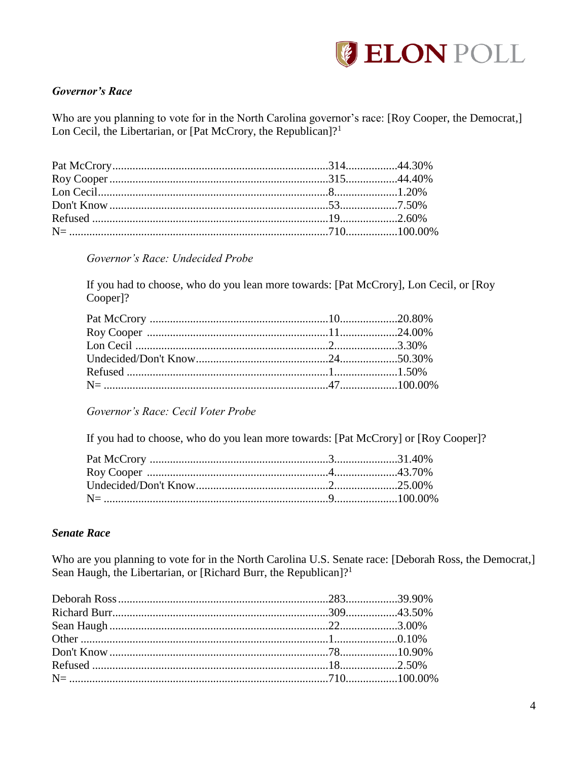

### **Governor's Race**

Who are you planning to vote for in the North Carolina governor's race: [Roy Cooper, the Democrat,] Lon Cecil, the Libertarian, or [Pat McCrory, the Republican]?<sup>1</sup>

### Governor's Race: Undecided Probe

If you had to choose, who do you lean more towards: [Pat McCrory], Lon Cecil, or [Roy Cooper]?

Governor's Race: Cecil Voter Probe

If you had to choose, who do you lean more towards: [Pat McCrory] or [Roy Cooper]?

#### **Senate Race**

Who are you planning to vote for in the North Carolina U.S. Senate race: [Deborah Ross, the Democrat,] Sean Haugh, the Libertarian, or [Richard Burr, the Republican]?<sup>1</sup>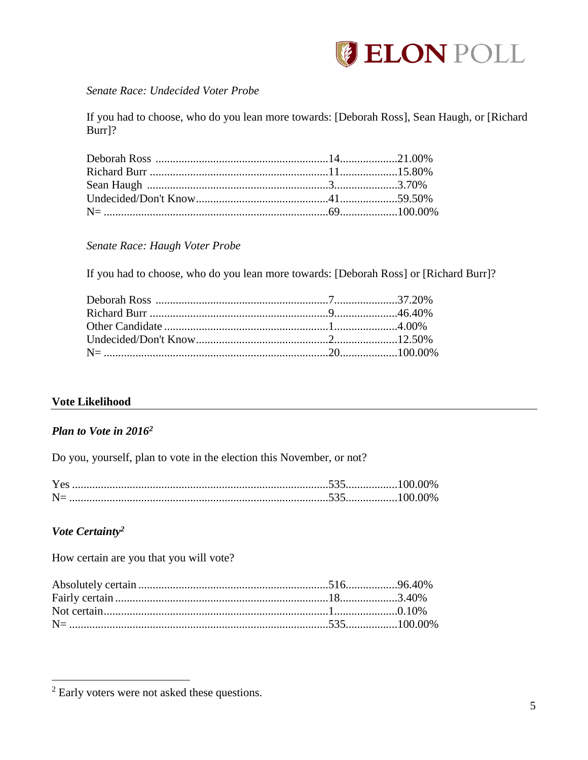

#### Senate Race: Undecided Voter Probe

If you had to choose, who do you lean more towards: [Deborah Ross], Sean Haugh, or [Richard Burr]?

Senate Race: Haugh Voter Probe

If you had to choose, who do you lean more towards: [Deborah Ross] or [Richard Burr]?

### <span id="page-5-0"></span>**Vote Likelihood**

#### Plan to Vote in 2016<sup>2</sup>

Do you, yourself, plan to vote in the election this November, or not?

### Vote Certainty<sup>2</sup>

How certain are you that you will vote?

 $2$  Early voters were not asked these questions.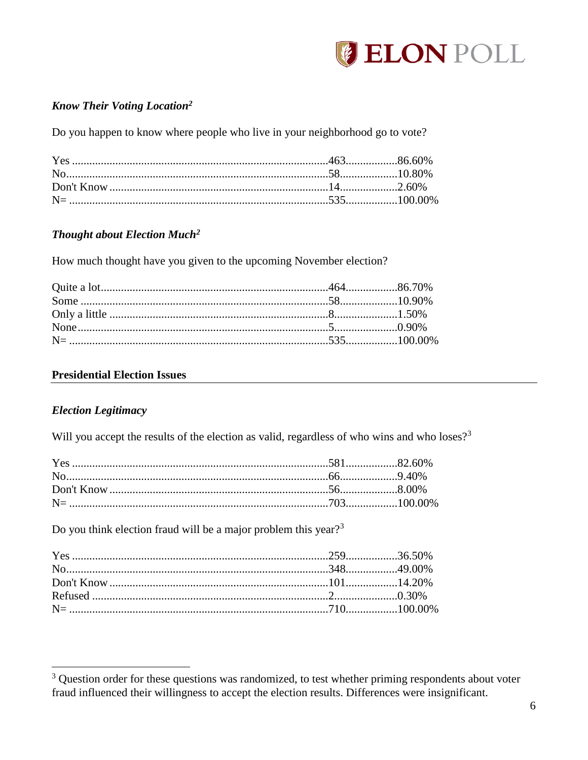

### **Know Their Voting Location<sup>2</sup>**

Do you happen to know where people who live in your neighborhood go to vote?

### **Thought about Election Much<sup>2</sup>**

How much thought have you given to the upcoming November election?

#### <span id="page-6-0"></span>**Presidential Election Issues**

#### **Election Legitimacy**

Will you accept the results of the election as valid, regardless of who wins and who loses?<sup>3</sup>

Do you think election fraud will be a major problem this year?<sup>3</sup>

<sup>&</sup>lt;sup>3</sup> Question order for these questions was randomized, to test whether priming respondents about voter fraud influenced their willingness to accept the election results. Differences were insignificant.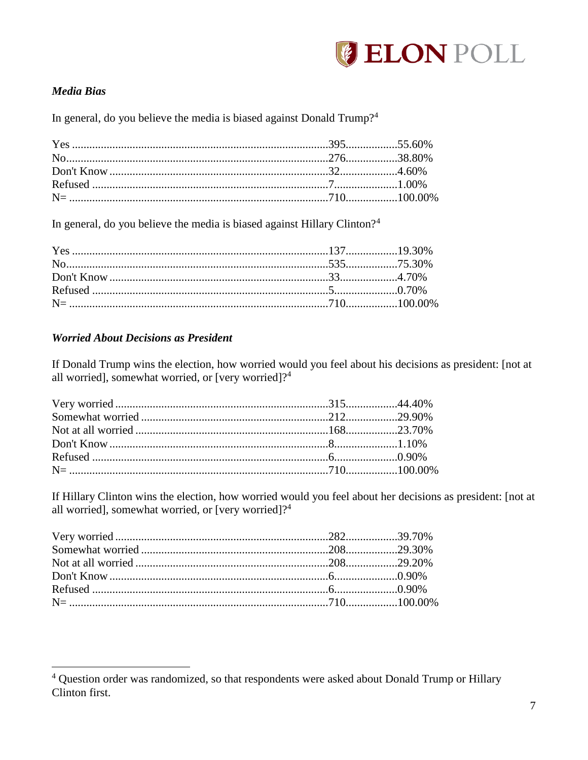

### **Media Bias**

In general, do you believe the media is biased against Donald Trump?<sup>4</sup>

In general, do you believe the media is biased against Hillary Clinton?<sup>4</sup>

#### **Worried About Decisions as President**

If Donald Trump wins the election, how worried would you feel about his decisions as president: [not at all worried], somewhat worried, or [very worried]?<sup>4</sup>

If Hillary Clinton wins the election, how worried would you feel about her decisions as president: [not at all worried], somewhat worried, or [very worried]?<sup>4</sup>

<sup>&</sup>lt;sup>4</sup> Question order was randomized, so that respondents were asked about Donald Trump or Hillary Clinton first.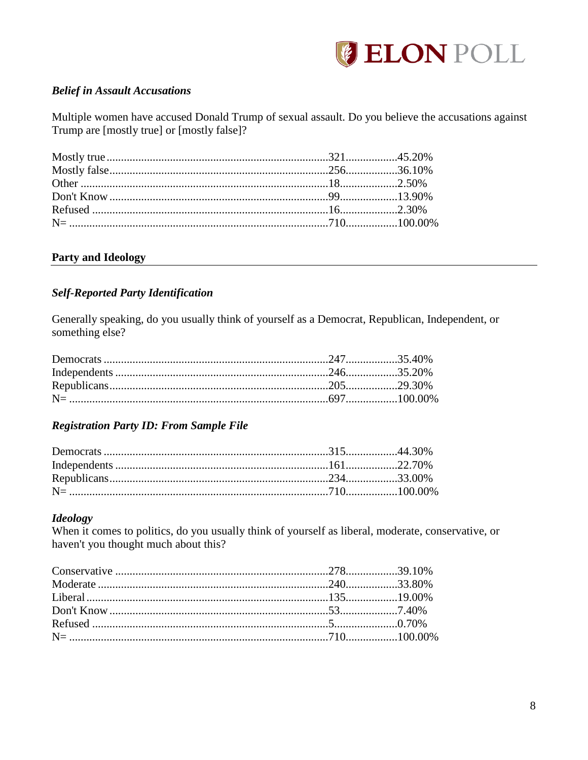

### **Belief in Assault Accusations**

Multiple women have accused Donald Trump of sexual assault. Do you believe the accusations against Trump are [mostly true] or [mostly false]?

### <span id="page-8-0"></span>**Party and Ideology**

### **Self-Reported Party Identification**

Generally speaking, do you usually think of yourself as a Democrat, Republican, Independent, or something else?

### **Registration Party ID: From Sample File**

### **Ideology**

When it comes to politics, do you usually think of yourself as liberal, moderate, conservative, or haven't you thought much about this?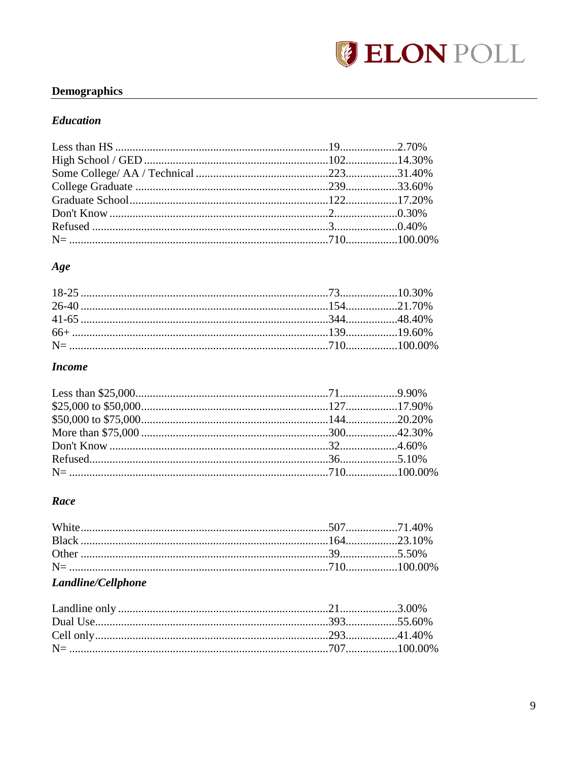

# <span id="page-9-0"></span>**Demographics**

#### **Education**

### Age

### **Income**

#### Race

| $\mathbf{I}$ and $\mathbf{I}$ is a $\mathbf{I}$ $\mathbf{I}$ and $\mathbf{I}$ and $\mathbf{I}$ |  |
|------------------------------------------------------------------------------------------------|--|

#### Landline/Cellphone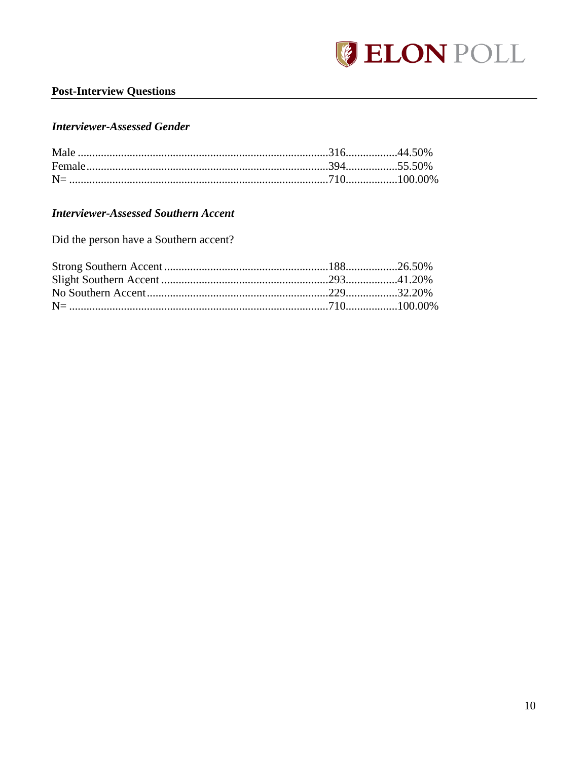

### <span id="page-10-0"></span>**Post-Interview Questions**

#### **Interviewer-Assessed Gender**

# **Interviewer-Assessed Southern Accent**

Did the person have a Southern accent?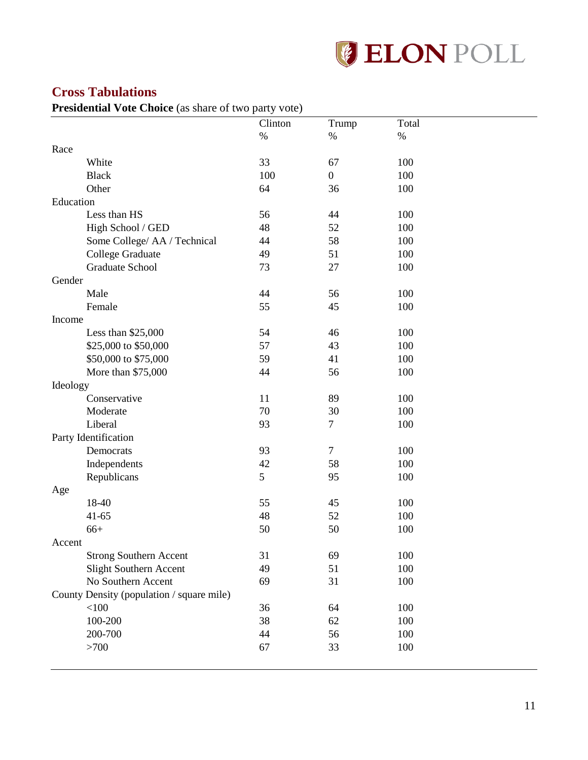

# <span id="page-11-0"></span>**Cross Tabulations**

<span id="page-11-1"></span>Presidential Vote Choice (as share of two party vote)

|           |                                           | Clinton | Trump            | Total |
|-----------|-------------------------------------------|---------|------------------|-------|
|           |                                           | $\%$    | $\%$             | $\%$  |
| Race      |                                           |         |                  |       |
|           | White                                     | 33      | 67               | 100   |
|           | <b>Black</b>                              | 100     | $\boldsymbol{0}$ | 100   |
|           | Other                                     | 64      | 36               | 100   |
| Education |                                           |         |                  |       |
|           | Less than HS                              | 56      | 44               | 100   |
|           | High School / GED                         | 48      | 52               | 100   |
|           | Some College/ AA / Technical              | 44      | 58               | 100   |
|           | College Graduate                          | 49      | 51               | 100   |
|           | Graduate School                           | 73      | 27               | 100   |
| Gender    |                                           |         |                  |       |
|           | Male                                      | 44      | 56               | 100   |
|           | Female                                    | 55      | 45               | 100   |
| Income    |                                           |         |                  |       |
|           | Less than $$25,000$                       | 54      | 46               | 100   |
|           | \$25,000 to \$50,000                      | 57      | 43               | 100   |
|           | \$50,000 to \$75,000                      | 59      | 41               | 100   |
|           | More than \$75,000                        | 44      | 56               | 100   |
| Ideology  |                                           |         |                  |       |
|           | Conservative                              | 11      | 89               | 100   |
|           | Moderate                                  | 70      | 30               | 100   |
|           | Liberal                                   | 93      | $\tau$           | 100   |
|           | Party Identification                      |         |                  |       |
|           | Democrats                                 | 93      | $\tau$           | 100   |
|           | Independents                              | 42      | 58               | 100   |
|           | Republicans                               | 5       | 95               | 100   |
| Age       |                                           |         |                  |       |
|           | 18-40                                     | 55      | 45               | 100   |
|           | $41 - 65$                                 | 48      | 52               | 100   |
|           | $66+$                                     | 50      | 50               | 100   |
| Accent    |                                           |         |                  |       |
|           | <b>Strong Southern Accent</b>             | 31      | 69               | 100   |
|           | Slight Southern Accent                    | 49      | 51               | 100   |
|           | No Southern Accent                        | 69      | 31               | 100   |
|           | County Density (population / square mile) |         |                  |       |
|           | $<\!\!100$                                | 36      | 64               | 100   |
|           | 100-200                                   | 38      | 62               | 100   |
|           | 200-700                                   | 44      | 56               | 100   |
|           | >700                                      | 67      | 33               | 100   |
|           |                                           |         |                  |       |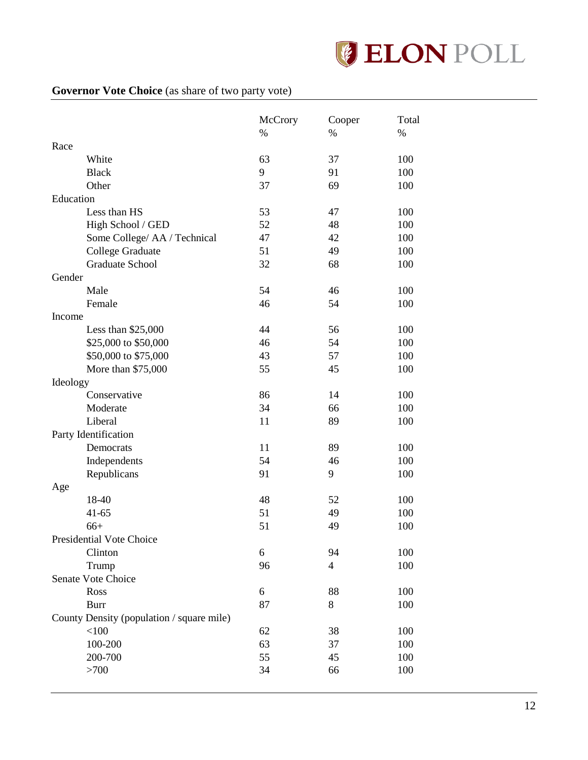

# <span id="page-12-0"></span>**Governor Vote Choice** (as share of two party vote)

|           |                                           | McCrory | Cooper         | Total |
|-----------|-------------------------------------------|---------|----------------|-------|
|           |                                           | $\%$    | $\%$           | $\%$  |
| Race      |                                           |         |                |       |
|           | White                                     | 63      | 37             | 100   |
|           | <b>Black</b>                              | 9       | 91             | 100   |
|           | Other                                     | 37      | 69             | 100   |
| Education |                                           |         |                |       |
|           | Less than HS                              | 53      | 47             | 100   |
|           | High School / GED                         | 52      | 48             | 100   |
|           | Some College/ AA / Technical              | 47      | 42             | 100   |
|           | <b>College Graduate</b>                   | 51      | 49             | 100   |
|           | Graduate School                           | 32      | 68             | 100   |
| Gender    |                                           |         |                |       |
|           | Male                                      | 54      | 46             | 100   |
|           | Female                                    | 46      | 54             | 100   |
| Income    |                                           |         |                |       |
|           | Less than \$25,000                        | 44      | 56             | 100   |
|           | \$25,000 to \$50,000                      | 46      | 54             | 100   |
|           | \$50,000 to \$75,000                      | 43      | 57             | 100   |
|           | More than \$75,000                        | 55      | 45             | 100   |
| Ideology  |                                           |         |                |       |
|           | Conservative                              | 86      | 14             | 100   |
|           | Moderate                                  | 34      | 66             | 100   |
|           | Liberal                                   | 11      | 89             | 100   |
|           | Party Identification                      |         |                |       |
|           | Democrats                                 | 11      | 89             | 100   |
|           | Independents                              | 54      | 46             | 100   |
|           | Republicans                               | 91      | 9              | 100   |
| Age       |                                           |         |                |       |
|           | 18-40                                     | 48      | 52             | 100   |
|           | $41 - 65$                                 | 51      | 49             | 100   |
|           | $66+$                                     | 51      | 49             | 100   |
|           | Presidential Vote Choice                  |         |                |       |
|           | Clinton                                   | 6       | 94             | 100   |
|           | Trump                                     | 96      | $\overline{4}$ | 100   |
|           | Senate Vote Choice                        |         |                |       |
|           | Ross                                      | 6       | 88             | 100   |
|           |                                           | 87      | 8              | 100   |
|           | <b>Burr</b>                               |         |                |       |
|           | County Density (population / square mile) |         |                |       |
|           | < 100                                     | 62      | 38             | 100   |
|           | 100-200                                   | 63      | 37             | 100   |
|           | 200-700                                   | 55      | 45             | 100   |
|           | >700                                      | 34      | 66             | 100   |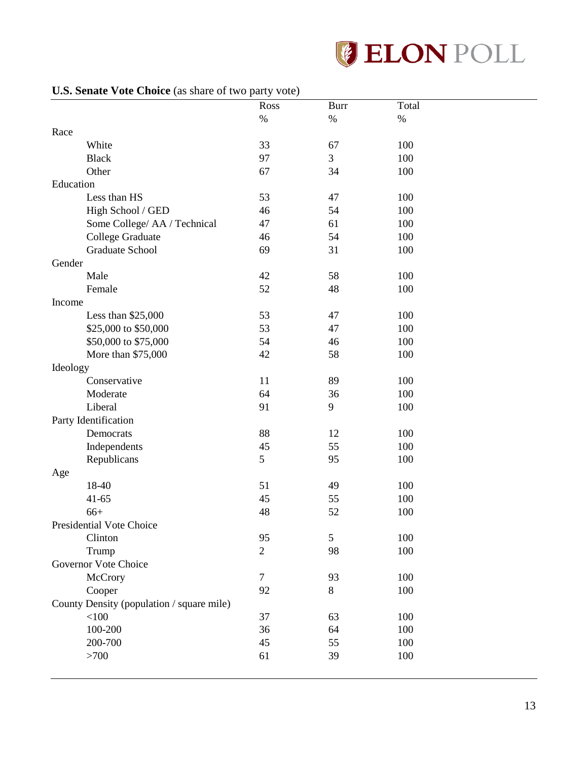

### <span id="page-13-0"></span>**U.S. Senate Vote Choice** (as share of two party vote)

| $\sim$ behave $\sim$ ore existed (as share of the party voic) | Ross           | <b>Burr</b> | Total |  |
|---------------------------------------------------------------|----------------|-------------|-------|--|
|                                                               | $\%$           | $\%$        | $\%$  |  |
| Race                                                          |                |             |       |  |
| White                                                         | 33             | 67          | 100   |  |
| <b>Black</b>                                                  | 97             | 3           | 100   |  |
| Other                                                         | 67             | 34          | 100   |  |
| Education                                                     |                |             |       |  |
| Less than HS                                                  | 53             | 47          | 100   |  |
| High School / GED                                             | 46             | 54          | 100   |  |
| Some College/ AA / Technical                                  | 47             | 61          | 100   |  |
| <b>College Graduate</b>                                       | 46             | 54          | 100   |  |
| Graduate School                                               | 69             | 31          | 100   |  |
| Gender                                                        |                |             |       |  |
| Male                                                          | 42             | 58          | 100   |  |
| Female                                                        | 52             | 48          | 100   |  |
| Income                                                        |                |             |       |  |
| Less than \$25,000                                            | 53             | 47          | 100   |  |
| \$25,000 to \$50,000                                          | 53             | 47          | 100   |  |
| \$50,000 to \$75,000                                          | 54             | 46          | 100   |  |
| More than \$75,000                                            | 42             | 58          | 100   |  |
| Ideology                                                      |                |             |       |  |
| Conservative                                                  | 11             | 89          | 100   |  |
| Moderate                                                      | 64             | 36          | 100   |  |
| Liberal                                                       | 91             | 9           | 100   |  |
| Party Identification                                          |                |             |       |  |
| Democrats                                                     | 88             | 12          | 100   |  |
| Independents                                                  | 45             | 55          | 100   |  |
| Republicans                                                   | 5              | 95          | 100   |  |
| Age                                                           |                |             |       |  |
| 18-40                                                         | 51             | 49          | 100   |  |
| $41 - 65$                                                     | 45             | 55          | 100   |  |
| $66+$                                                         | 48             | 52          | 100   |  |
| Presidential Vote Choice                                      |                |             |       |  |
| Clinton                                                       | 95             | 5           | 100   |  |
| Trump                                                         | $\overline{2}$ | 98          | 100   |  |
| Governor Vote Choice                                          |                |             |       |  |
| McCrory                                                       | $\tau$         | 93          | 100   |  |
| Cooper                                                        | 92             | 8           | 100   |  |
| County Density (population / square mile)                     |                |             |       |  |
| $<100$                                                        | 37             | 63          | 100   |  |
| 100-200                                                       | 36             | 64          | 100   |  |
| 200-700                                                       | 45             | 55          | 100   |  |
| >700                                                          | 61             | 39          | 100   |  |
|                                                               |                |             |       |  |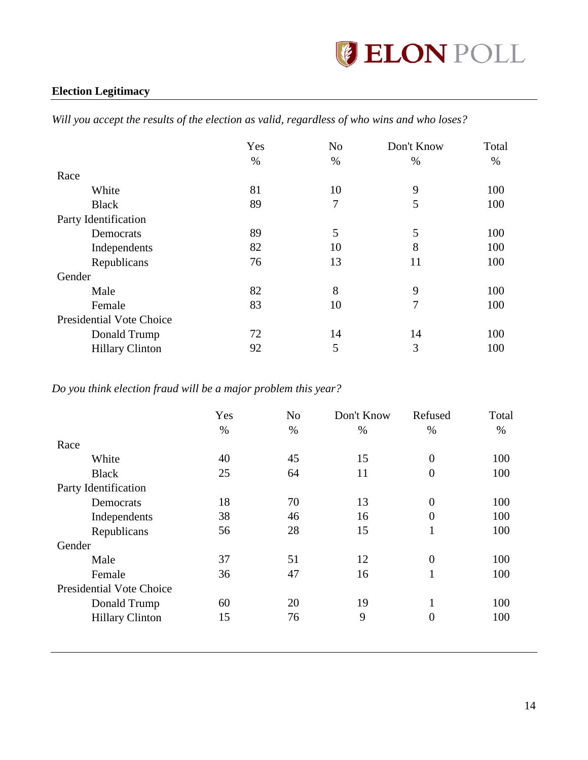

# <span id="page-14-0"></span>**Election Legitimacy**

*Will you accept the results of the election as valid, regardless of who wins and who loses?*

|                                 | Yes | N <sub>o</sub> | Don't Know | Total |
|---------------------------------|-----|----------------|------------|-------|
|                                 | %   | %              | %          | $\%$  |
| Race                            |     |                |            |       |
| White                           | 81  | 10             | 9          | 100   |
| <b>Black</b>                    | 89  | 7              | 5          | 100   |
| Party Identification            |     |                |            |       |
| Democrats                       | 89  | 5              | 5          | 100   |
| Independents                    | 82  | 10             | 8          | 100   |
| Republicans                     | 76  | 13             | 11         | 100   |
| Gender                          |     |                |            |       |
| Male                            | 82  | 8              | 9          | 100   |
| Female                          | 83  | 10             | 7          | 100   |
| <b>Presidential Vote Choice</b> |     |                |            |       |
| Donald Trump                    | 72  | 14             | 14         | 100   |
| <b>Hillary Clinton</b>          | 92  | 5              | 3          | 100   |

*Do you think election fraud will be a major problem this year?*

|                                 | Yes  | N <sub>o</sub> | Don't Know | Refused        | Total |
|---------------------------------|------|----------------|------------|----------------|-------|
|                                 | $\%$ | $\%$           | $\%$       | %              | $\%$  |
| Race                            |      |                |            |                |       |
| White                           | 40   | 45             | 15         | $\theta$       | 100   |
| <b>Black</b>                    | 25   | 64             | 11         | $\overline{0}$ | 100   |
| Party Identification            |      |                |            |                |       |
| Democrats                       | 18   | 70             | 13         | $\theta$       | 100   |
| Independents                    | 38   | 46             | 16         | $\overline{0}$ | 100   |
| Republicans                     | 56   | 28             | 15         | л.             | 100   |
| Gender                          |      |                |            |                |       |
| Male                            | 37   | 51             | 12         | $\theta$       | 100   |
| Female                          | 36   | 47             | 16         | 1<br>л.        | 100   |
| <b>Presidential Vote Choice</b> |      |                |            |                |       |
| Donald Trump                    | 60   | 20             | 19         |                | 100   |
| <b>Hillary Clinton</b>          | 15   | 76             | 9          | $\overline{0}$ | 100   |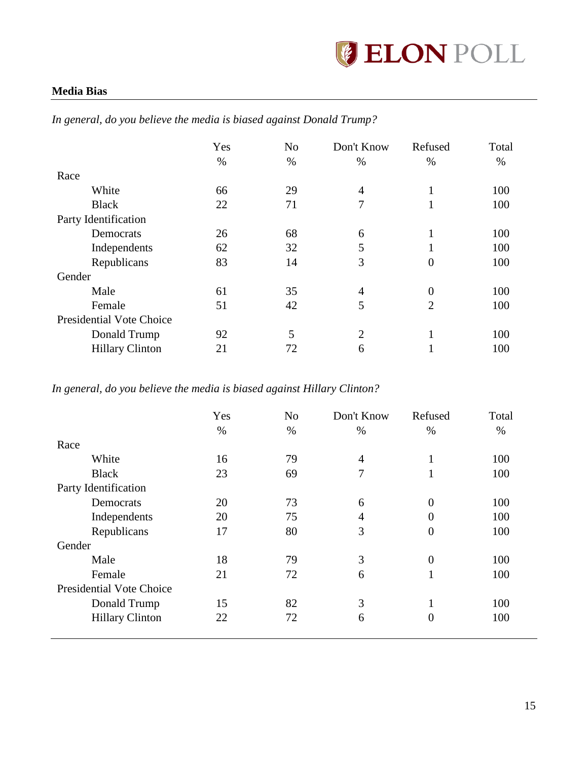

### <span id="page-15-0"></span>**Media Bias**

|                                 | Yes  | N <sub>o</sub> | Don't Know     | Refused        | Total |
|---------------------------------|------|----------------|----------------|----------------|-------|
|                                 | $\%$ | $\%$           | $\%$           | $\%$           | $\%$  |
| Race                            |      |                |                |                |       |
| White                           | 66   | 29             | 4              |                | 100   |
| <b>Black</b>                    | 22   | 71             | 7              |                | 100   |
| Party Identification            |      |                |                |                |       |
| Democrats                       | 26   | 68             | 6              |                | 100   |
| Independents                    | 62   | 32             | 5              |                | 100   |
| Republicans                     | 83   | 14             | 3              | 0              | 100   |
| Gender                          |      |                |                |                |       |
| Male                            | 61   | 35             | 4              | $\overline{0}$ | 100   |
| Female                          | 51   | 42             | 5              | $\overline{2}$ | 100   |
| <b>Presidential Vote Choice</b> |      |                |                |                |       |
| Donald Trump                    | 92   | 5              | $\overline{2}$ |                | 100   |
| <b>Hillary Clinton</b>          | 21   | 72             | 6              |                | 100   |

*In general, do you believe the media is biased against Donald Trump?*

*In general, do you believe the media is biased against Hillary Clinton?*

|                                 | Yes  | N <sub>o</sub> | Don't Know | Refused          | Total |
|---------------------------------|------|----------------|------------|------------------|-------|
|                                 | $\%$ | $\%$           | $\%$       | $\%$             | %     |
| Race                            |      |                |            |                  |       |
| White                           | 16   | 79             | 4          | 1                | 100   |
| <b>Black</b>                    | 23   | 69             | 7          | 1                | 100   |
| Party Identification            |      |                |            |                  |       |
| Democrats                       | 20   | 73             | 6          | $\overline{0}$   | 100   |
| Independents                    | 20   | 75             | 4          | $\overline{0}$   | 100   |
| Republicans                     | 17   | 80             | 3          | $\boldsymbol{0}$ | 100   |
| Gender                          |      |                |            |                  |       |
| Male                            | 18   | 79             | 3          | $\mathbf{0}$     | 100   |
| Female                          | 21   | 72             | 6          | 1                | 100   |
| <b>Presidential Vote Choice</b> |      |                |            |                  |       |
| Donald Trump                    | 15   | 82             | 3          | 1                | 100   |
| <b>Hillary Clinton</b>          | 22   | 72             | 6          | $\overline{0}$   | 100   |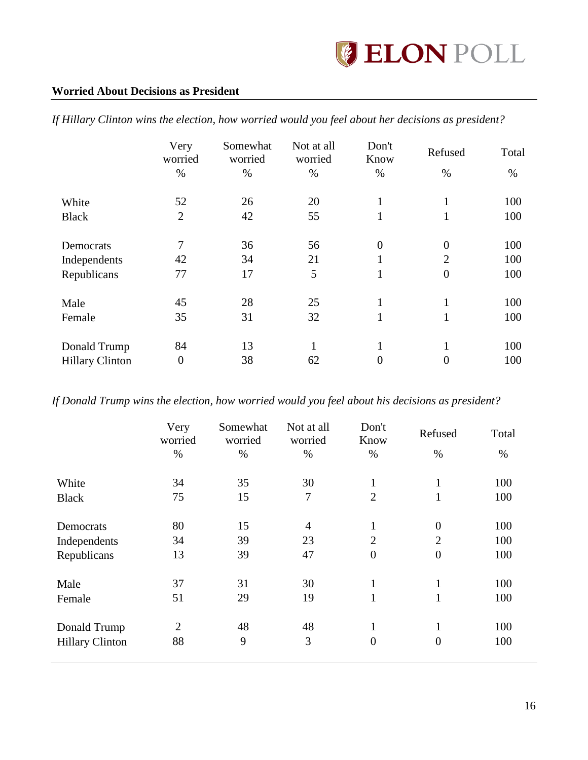### <span id="page-16-0"></span>**Worried About Decisions as President**

|                        | Very<br>worried | Somewhat<br>worried | Not at all<br>worried | Don't<br>Know  | Refused          | Total |
|------------------------|-----------------|---------------------|-----------------------|----------------|------------------|-------|
|                        | $\%$            | $\%$                | $\%$                  | $\%$           | $\%$             | $\%$  |
| White                  | 52              | 26                  | 20                    |                |                  | 100   |
| <b>Black</b>           | $\overline{2}$  | 42                  | 55                    | 1              | $\mathbf{1}$     | 100   |
| Democrats              | 7               | 36                  | 56                    | $\theta$       | $\boldsymbol{0}$ | 100   |
| Independents           | 42              | 34                  | 21                    | л.             | $\overline{2}$   | 100   |
| Republicans            | 77              | 17                  | 5                     |                | $\overline{0}$   | 100   |
| Male                   | 45              | 28                  | 25                    | -1             | 1                | 100   |
| Female                 | 35              | 31                  | 32                    |                | $\mathbf{1}$     | 100   |
| Donald Trump           | 84              | 13                  | 1                     | -1             | 1                | 100   |
| <b>Hillary Clinton</b> | $\overline{0}$  | 38                  | 62                    | $\overline{0}$ | $\overline{0}$   | 100   |

*If Hillary Clinton wins the election, how worried would you feel about her decisions as president?*

*If Donald Trump wins the election, how worried would you feel about his decisions as president?*

|                        | Very<br>worried | Somewhat<br>worried | Not at all<br>worried | Don't<br>Know  | Refused        | Total |
|------------------------|-----------------|---------------------|-----------------------|----------------|----------------|-------|
|                        | $\%$            | %                   | $\%$                  | %              | %              | %     |
| White                  | 34              | 35                  | 30                    | $\mathbf{1}$   | $\mathbf{1}$   | 100   |
| <b>Black</b>           | 75              | 15                  | $\tau$                | $\overline{2}$ | $\mathbf{1}$   | 100   |
| Democrats              | 80              | 15                  | $\overline{4}$        | 1              | $\overline{0}$ | 100   |
| Independents           | 34              | 39                  | 23                    | $\overline{2}$ | $\overline{2}$ | 100   |
| Republicans            | 13              | 39                  | 47                    | $\overline{0}$ | $\overline{0}$ | 100   |
| Male                   | 37              | 31                  | 30                    | $\mathbf{1}$   | $\mathbf{1}$   | 100   |
| Female                 | 51              | 29                  | 19                    | $\mathbf{1}$   | $\mathbf{1}$   | 100   |
| Donald Trump           | $\overline{2}$  | 48                  | 48                    | 1              | $\mathbf{1}$   | 100   |
| <b>Hillary Clinton</b> | 88              | 9                   | 3                     | $\overline{0}$ | $\overline{0}$ | 100   |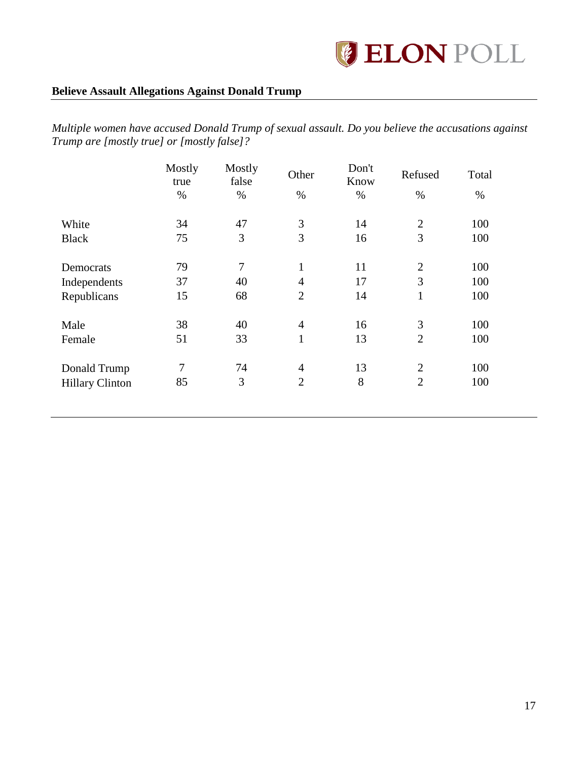

### <span id="page-17-0"></span>**Believe Assault Allegations Against Donald Trump**

*Multiple women have accused Donald Trump of sexual assault. Do you believe the accusations against Trump are [mostly true] or [mostly false]?*

|                        | Mostly<br>true | Mostly<br>false | Other          | Don't<br>Know | Refused        | Total |
|------------------------|----------------|-----------------|----------------|---------------|----------------|-------|
|                        | $\%$           | $\%$            | $\%$           | $\%$          | $\%$           | $\%$  |
| White                  | 34             | 47              | 3              | 14            | $\overline{2}$ | 100   |
| <b>Black</b>           | 75             | 3               | 3              | 16            | 3              | 100   |
| Democrats              | 79             | $\overline{7}$  | 1              | 11            | $\overline{2}$ | 100   |
| Independents           | 37             | 40              | $\overline{4}$ | 17            | 3              | 100   |
| Republicans            | 15             | 68              | $\overline{2}$ | 14            | $\mathbf{1}$   | 100   |
| Male                   | 38             | 40              | $\overline{4}$ | 16            | 3              | 100   |
| Female                 | 51             | 33              | $\mathbf{1}$   | 13            | $\overline{2}$ | 100   |
| Donald Trump           | 7              | 74              | $\overline{4}$ | 13            | $\overline{2}$ | 100   |
| <b>Hillary Clinton</b> | 85             | 3               | $\overline{2}$ | 8             | $\overline{2}$ | 100   |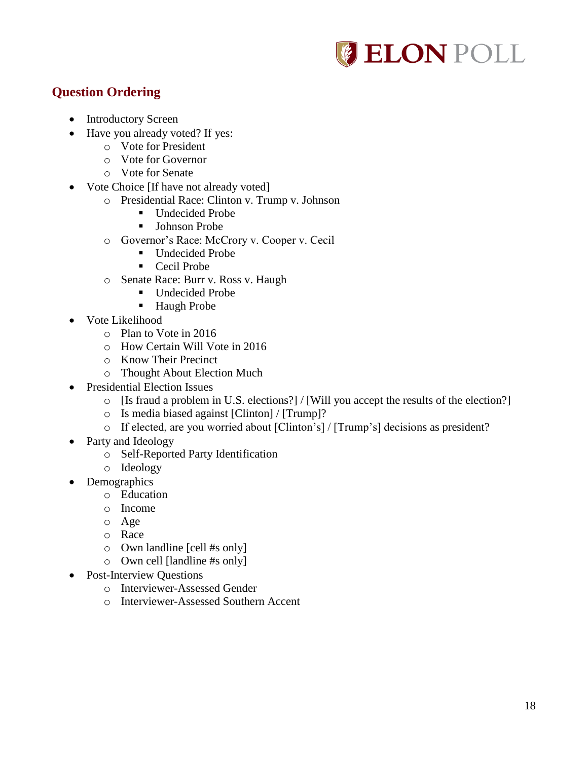

# <span id="page-18-0"></span>**Question Ordering**

- Introductory Screen
- Have you already voted? If yes:
	- o Vote for President
	- o Vote for Governor
	- o Vote for Senate
- Vote Choice [If have not already voted]
	- o Presidential Race: Clinton v. Trump v. Johnson
		- Undecided Probe
		- **Johnson Probe**
		- o Governor's Race: McCrory v. Cooper v. Cecil
			- Undecided Probe
			- Cecil Probe
		- o Senate Race: Burr v. Ross v. Haugh
			- Undecided Probe
			- Haugh Probe
- Vote Likelihood
	- o Plan to Vote in 2016
	- o How Certain Will Vote in 2016
	- o Know Their Precinct
	- o Thought About Election Much
- Presidential Election Issues
	- o [Is fraud a problem in U.S. elections?] / [Will you accept the results of the election?]
	- o Is media biased against [Clinton] / [Trump]?
	- o If elected, are you worried about [Clinton's] / [Trump's] decisions as president?
- Party and Ideology
	- o Self-Reported Party Identification
	- o Ideology
- Demographics
	- o Education
	- o Income
	- o Age
	- o Race
	- o Own landline [cell #s only]
	- o Own cell [landline #s only]
- Post-Interview Ouestions
	- o Interviewer-Assessed Gender
	- o Interviewer-Assessed Southern Accent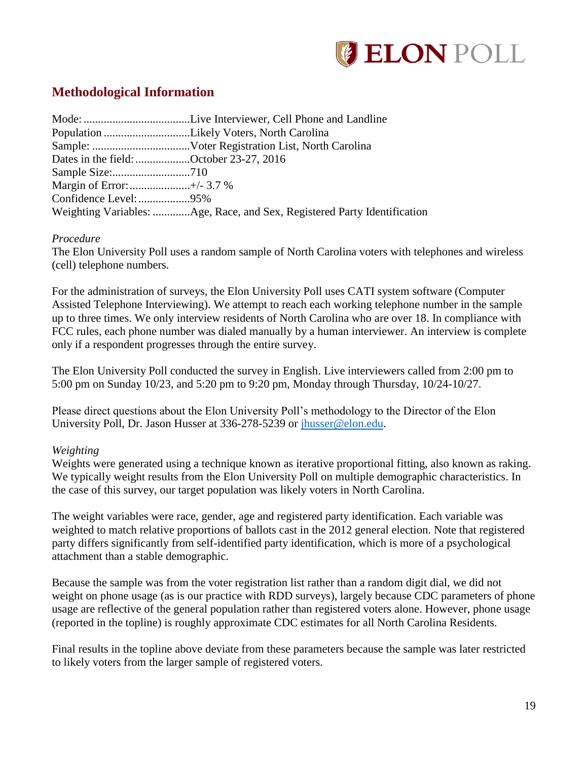

# <span id="page-19-0"></span>**Methodological Information**

| Dates in the field: October 23-27, 2016 |  |
|-----------------------------------------|--|
|                                         |  |
|                                         |  |
|                                         |  |
|                                         |  |

#### *Procedure*

The Elon University Poll uses a random sample of North Carolina voters with telephones and wireless (cell) telephone numbers.

For the administration of surveys, the Elon University Poll uses CATI system software (Computer Assisted Telephone Interviewing). We attempt to reach each working telephone number in the sample up to three times. We only interview residents of North Carolina who are over 18. In compliance with FCC rules, each phone number was dialed manually by a human interviewer. An interview is complete only if a respondent progresses through the entire survey.

The Elon University Poll conducted the survey in English. Live interviewers called from 2:00 pm to 5:00 pm on Sunday 10/23, and 5:20 pm to 9:20 pm, Monday through Thursday, 10/24-10/27.

Please direct questions about the Elon University Poll's methodology to the Director of the Elon University Poll, Dr. Jason Husser at 336-278-5239 or [jhusser@elon.edu.](mailto:jhusser@elon.edu)

#### *Weighting*

Weights were generated using a technique known as iterative proportional fitting, also known as raking. We typically weight results from the Elon University Poll on multiple demographic characteristics. In the case of this survey, our target population was likely voters in North Carolina.

The weight variables were race, gender, age and registered party identification. Each variable was weighted to match relative proportions of ballots cast in the 2012 general election. Note that registered party differs significantly from self-identified party identification, which is more of a psychological attachment than a stable demographic.

Because the sample was from the voter registration list rather than a random digit dial, we did not weight on phone usage (as is our practice with RDD surveys), largely because CDC parameters of phone usage are reflective of the general population rather than registered voters alone. However, phone usage (reported in the topline) is roughly approximate CDC estimates for all North Carolina Residents.

Final results in the topline above deviate from these parameters because the sample was later restricted to likely voters from the larger sample of registered voters.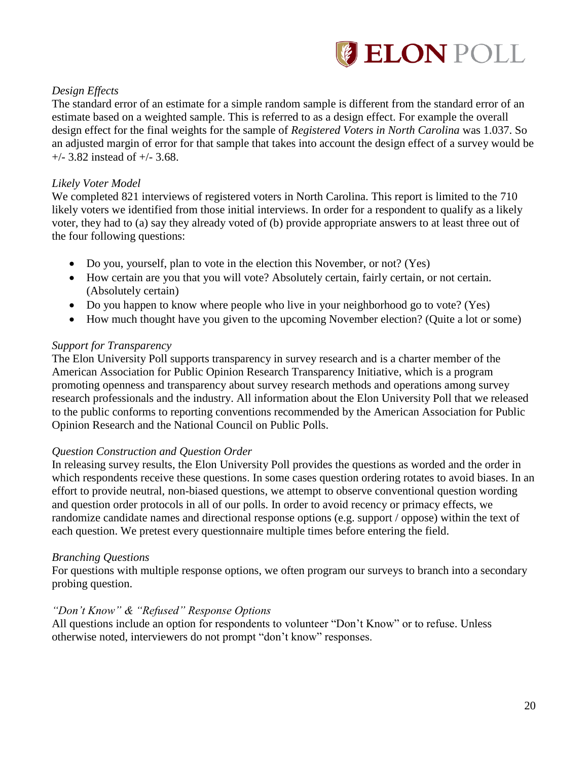

### *Design Effects*

The standard error of an estimate for a simple random sample is different from the standard error of an estimate based on a weighted sample. This is referred to as a design effect. For example the overall design effect for the final weights for the sample of *Registered Voters in North Carolina* was 1.037. So an adjusted margin of error for that sample that takes into account the design effect of a survey would be  $+/-$  3.82 instead of  $+/-$  3.68.

#### *Likely Voter Model*

We completed 821 interviews of registered voters in North Carolina. This report is limited to the 710 likely voters we identified from those initial interviews. In order for a respondent to qualify as a likely voter, they had to (a) say they already voted of (b) provide appropriate answers to at least three out of the four following questions:

- Do you, yourself, plan to vote in the election this November, or not? (Yes)
- How certain are you that you will vote? Absolutely certain, fairly certain, or not certain. (Absolutely certain)
- Do you happen to know where people who live in your neighborhood go to vote? (Yes)
- How much thought have you given to the upcoming November election? (Quite a lot or some)

#### *Support for Transparency*

The Elon University Poll supports transparency in survey research and is a charter member of the American Association for Public Opinion Research Transparency Initiative, which is a program promoting openness and transparency about survey research methods and operations among survey research professionals and the industry. All information about the Elon University Poll that we released to the public conforms to reporting conventions recommended by the American Association for Public Opinion Research and the National Council on Public Polls.

#### *Question Construction and Question Order*

In releasing survey results, the Elon University Poll provides the questions as worded and the order in which respondents receive these questions. In some cases question ordering rotates to avoid biases. In an effort to provide neutral, non-biased questions, we attempt to observe conventional question wording and question order protocols in all of our polls. In order to avoid recency or primacy effects, we randomize candidate names and directional response options (e.g. support / oppose) within the text of each question. We pretest every questionnaire multiple times before entering the field.

#### *Branching Questions*

For questions with multiple response options, we often program our surveys to branch into a secondary probing question.

#### *"Don't Know" & "Refused" Response Options*

All questions include an option for respondents to volunteer "Don't Know" or to refuse. Unless otherwise noted, interviewers do not prompt "don't know" responses.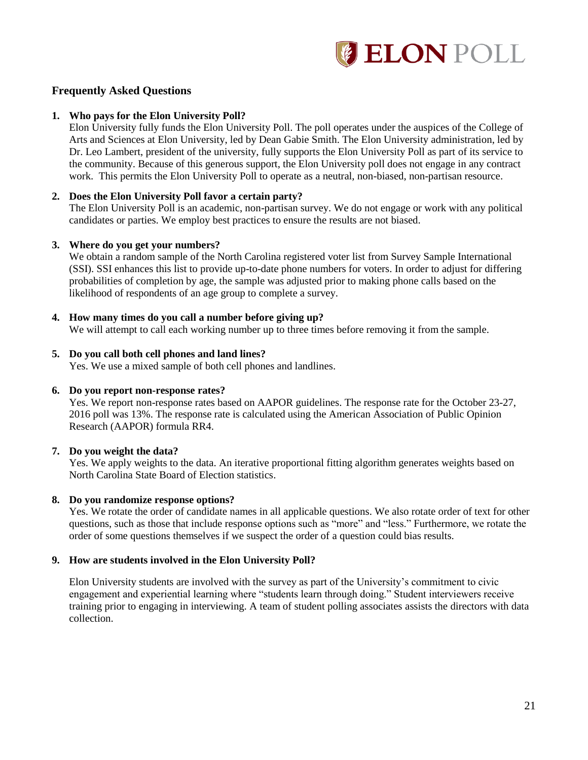

#### **Frequently Asked Questions**

#### **1. Who pays for the Elon University Poll?**

Elon University fully funds the Elon University Poll. The poll operates under the auspices of the College of Arts and Sciences at Elon University, led by Dean Gabie Smith. The Elon University administration, led by Dr. Leo Lambert, president of the university, fully supports the Elon University Poll as part of its service to the community. Because of this generous support, the Elon University poll does not engage in any contract work. This permits the Elon University Poll to operate as a neutral, non-biased, non-partisan resource.

#### **2. Does the Elon University Poll favor a certain party?**

The Elon University Poll is an academic, non-partisan survey. We do not engage or work with any political candidates or parties. We employ best practices to ensure the results are not biased.

#### **3. Where do you get your numbers?**

We obtain a random sample of the North Carolina registered voter list from Survey Sample International (SSI). SSI enhances this list to provide up-to-date phone numbers for voters. In order to adjust for differing probabilities of completion by age, the sample was adjusted prior to making phone calls based on the likelihood of respondents of an age group to complete a survey.

#### **4. How many times do you call a number before giving up?**

We will attempt to call each working number up to three times before removing it from the sample.

#### **5. Do you call both cell phones and land lines?**

Yes. We use a mixed sample of both cell phones and landlines.

#### **6. Do you report non-response rates?**

Yes. We report non-response rates based on AAPOR guidelines. The response rate for the October 23-27, 2016 poll was 13%. The response rate is calculated using the American Association of Public Opinion Research (AAPOR) formula RR4.

#### **7. Do you weight the data?**

Yes. We apply weights to the data. An iterative proportional fitting algorithm generates weights based on North Carolina State Board of Election statistics.

#### **8. Do you randomize response options?**

Yes. We rotate the order of candidate names in all applicable questions. We also rotate order of text for other questions, such as those that include response options such as "more" and "less." Furthermore, we rotate the order of some questions themselves if we suspect the order of a question could bias results.

#### **9. How are students involved in the Elon University Poll?**

Elon University students are involved with the survey as part of the University's commitment to civic engagement and experiential learning where "students learn through doing." Student interviewers receive training prior to engaging in interviewing. A team of student polling associates assists the directors with data collection.